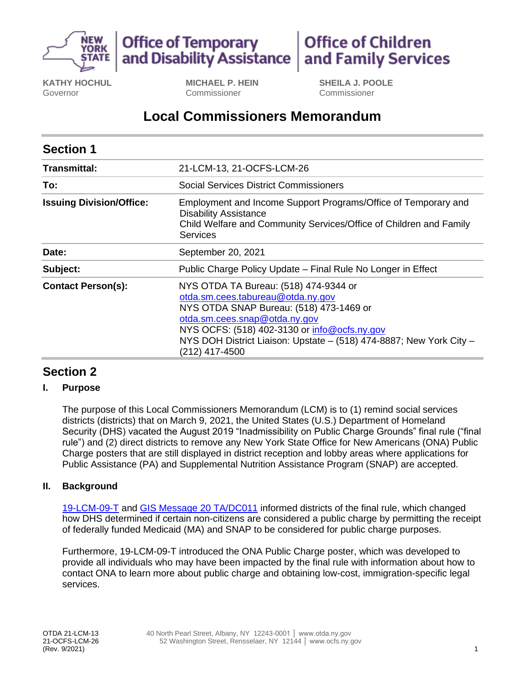



**Office of Children** and Family Services

**KATHY HOCHUL**  Governor

**MICHAEL P. HEIN**  Commissioner

**SHEILA J. POOLE**  Commissioner

# **Local Commissioners Memorandum**

| <b>Section 1</b>                |                                                                                                                                                                                                                                                                                                 |
|---------------------------------|-------------------------------------------------------------------------------------------------------------------------------------------------------------------------------------------------------------------------------------------------------------------------------------------------|
| Transmittal:                    | 21-LCM-13, 21-OCFS-LCM-26                                                                                                                                                                                                                                                                       |
| To:                             | Social Services District Commissioners                                                                                                                                                                                                                                                          |
| <b>Issuing Division/Office:</b> | Employment and Income Support Programs/Office of Temporary and<br><b>Disability Assistance</b><br>Child Welfare and Community Services/Office of Children and Family<br><b>Services</b>                                                                                                         |
| Date:                           | September 20, 2021                                                                                                                                                                                                                                                                              |
| Subject:                        | Public Charge Policy Update – Final Rule No Longer in Effect                                                                                                                                                                                                                                    |
| <b>Contact Person(s):</b>       | NYS OTDA TA Bureau: (518) 474-9344 or<br>otda.sm.cees.tabureau@otda.ny.gov<br>NYS OTDA SNAP Bureau: (518) 473-1469 or<br>otda.sm.cees.snap@otda.ny.gov<br>NYS OCFS: (518) 402-3130 or info@ocfs.ny.gov<br>NYS DOH District Liaison: Upstate - (518) 474-8887; New York City -<br>(212) 417-4500 |

## **Section 2**

#### **I. Purpose**

 The purpose of this Local Commissioners Memorandum (LCM) is to (1) remind social services districts (districts) that on March 9, 2021, the United States (U.S.) Department of Homeland Security (DHS) vacated the August 2019 "Inadmissibility on Public Charge Grounds" final rule ("final rule") and (2) direct districts to remove any New York State Office for New Americans (ONA) Public Charge posters that are still displayed in district reception and lobby areas where applications for Public Assistance (PA) and Supplemental Nutrition Assistance Program (SNAP) are accepted.

#### **II. Background**

[19-LCM-09-T](https://otda.ny.gov/policy/directives/2019/LCM/19-LCM-09-T.pdf) and [GIS Message 20 TA/DC011](https://otda.ny.gov/policy/gis/2020/20DC011.pdf) informed districts of the final rule, which changed how DHS determined if certain non-citizens are considered a public charge by permitting the receipt of federally funded Medicaid (MA) and SNAP to be considered for public charge purposes.

 Furthermore, 19-LCM-09-T introduced the ONA Public Charge poster, which was developed to provide all individuals who may have been impacted by the final rule with information about how to contact ONA to learn more about public charge and obtaining low-cost, immigration-specific legal services.